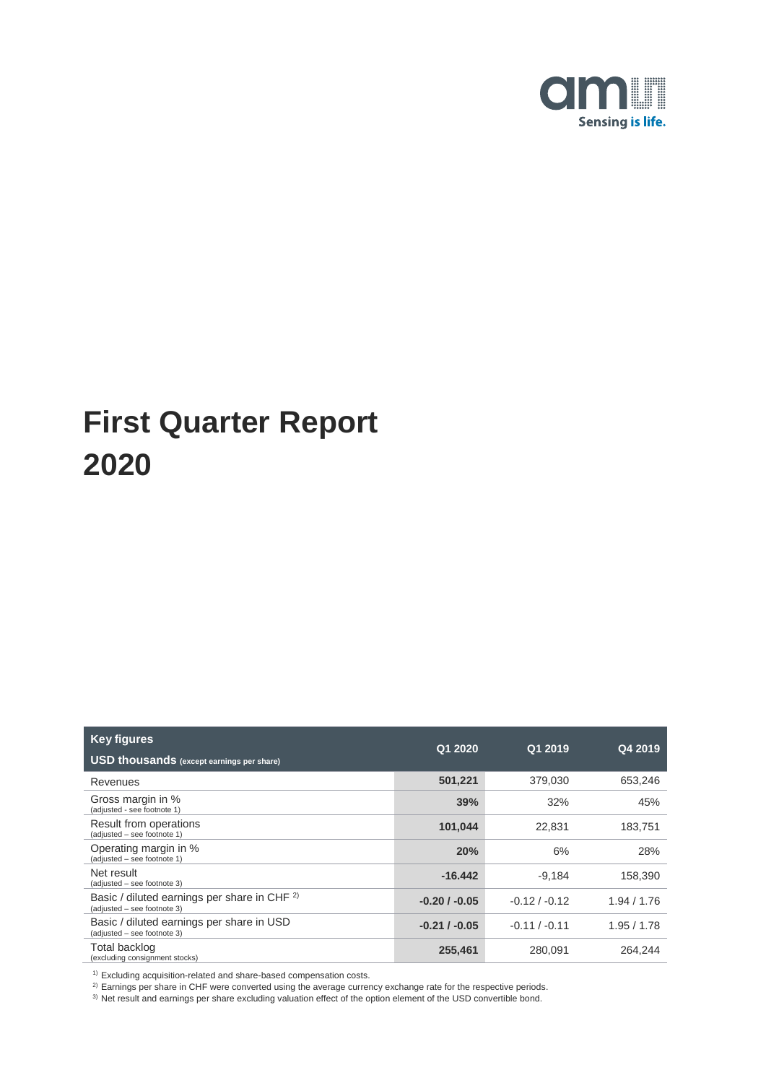

| <b>Key figures</b><br><b>USD thousands</b> (except earnings per share)                 | Q1 2020        | Q1 2019         | Q4 2019   |
|----------------------------------------------------------------------------------------|----------------|-----------------|-----------|
| Revenues                                                                               | 501,221        | 379,030         | 653,246   |
| Gross margin in %<br>(adjusted - see footnote 1)                                       | 39%            | 32%             | 45%       |
| Result from operations<br>(adjusted - see footnote 1)                                  | 101,044        | 22.831          | 183.751   |
| Operating margin in %<br>(adjusted - see footnote 1)                                   | 20%            | 6%              | 28%       |
| Net result<br>(adjusted – see footnote 3)                                              | $-16.442$      | $-9,184$        | 158,390   |
| Basic / diluted earnings per share in CHF <sup>2)</sup><br>(adjusted - see footnote 3) | $-0.20/ -0.05$ | $-0.12 / -0.12$ | 1.94/1.76 |
| Basic / diluted earnings per share in USD<br>(adjusted - see footnote 3)               | $-0.21/ -0.05$ | $-0.11 / -0.11$ | 1.95/1.78 |
| Total backlog<br>(excluding consignment stocks)                                        | 255,461        | 280,091         | 264.244   |

 $1)$  Excluding acquisition-related and share-based compensation costs.

 $^{2)}$  Earnings per share in CHF were converted using the average currency exchange rate for the respective periods.

<sup>3)</sup> Net result and earnings per share excluding valuation effect of the option element of the USD convertible bond.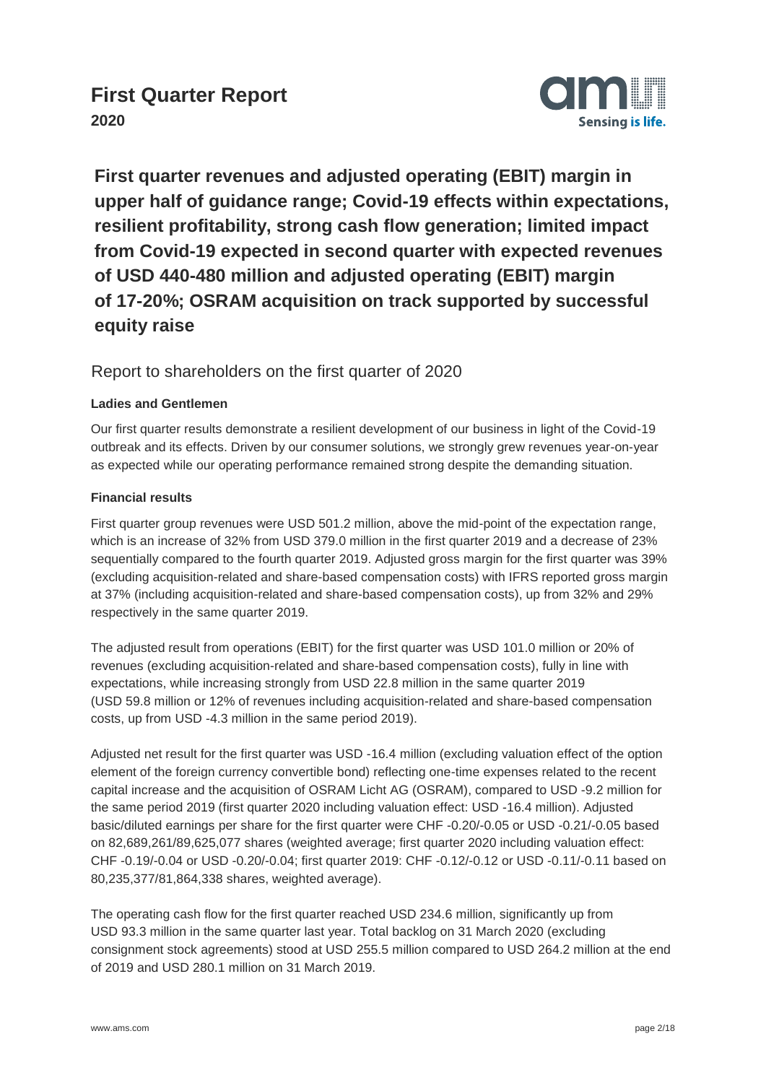

**First quarter revenues and adjusted operating (EBIT) margin in upper half of guidance range; Covid-19 effects within expectations, resilient profitability, strong cash flow generation; limited impact from Covid-19 expected in second quarter with expected revenues of USD 440-480 million and adjusted operating (EBIT) margin of 17-20%; OSRAM acquisition on track supported by successful equity raise**

#### Report to shareholders on the first quarter of 2020

#### **Ladies and Gentlemen**

Our first quarter results demonstrate a resilient development of our business in light of the Covid-19 outbreak and its effects. Driven by our consumer solutions, we strongly grew revenues year-on-year as expected while our operating performance remained strong despite the demanding situation.

#### **Financial results**

First quarter group revenues were USD 501.2 million, above the mid-point of the expectation range, which is an increase of 32% from USD 379.0 million in the first quarter 2019 and a decrease of 23% sequentially compared to the fourth quarter 2019. Adjusted gross margin for the first quarter was 39% (excluding acquisition-related and share-based compensation costs) with IFRS reported gross margin at 37% (including acquisition-related and share-based compensation costs), up from 32% and 29% respectively in the same quarter 2019.

The adjusted result from operations (EBIT) for the first quarter was USD 101.0 million or 20% of revenues (excluding acquisition-related and share-based compensation costs), fully in line with expectations, while increasing strongly from USD 22.8 million in the same quarter 2019 (USD 59.8 million or 12% of revenues including acquisition-related and share-based compensation costs, up from USD -4.3 million in the same period 2019).

Adjusted net result for the first quarter was USD -16.4 million (excluding valuation effect of the option element of the foreign currency convertible bond) reflecting one-time expenses related to the recent capital increase and the acquisition of OSRAM Licht AG (OSRAM), compared to USD -9.2 million for the same period 2019 (first quarter 2020 including valuation effect: USD -16.4 million). Adjusted basic/diluted earnings per share for the first quarter were CHF -0.20/-0.05 or USD -0.21/-0.05 based on 82,689,261/89,625,077 shares (weighted average; first quarter 2020 including valuation effect: CHF -0.19/-0.04 or USD -0.20/-0.04; first quarter 2019: CHF -0.12/-0.12 or USD -0.11/-0.11 based on 80,235,377/81,864,338 shares, weighted average).

The operating cash flow for the first quarter reached USD 234.6 million, significantly up from USD 93.3 million in the same quarter last year. Total backlog on 31 March 2020 (excluding consignment stock agreements) stood at USD 255.5 million compared to USD 264.2 million at the end of 2019 and USD 280.1 million on 31 March 2019.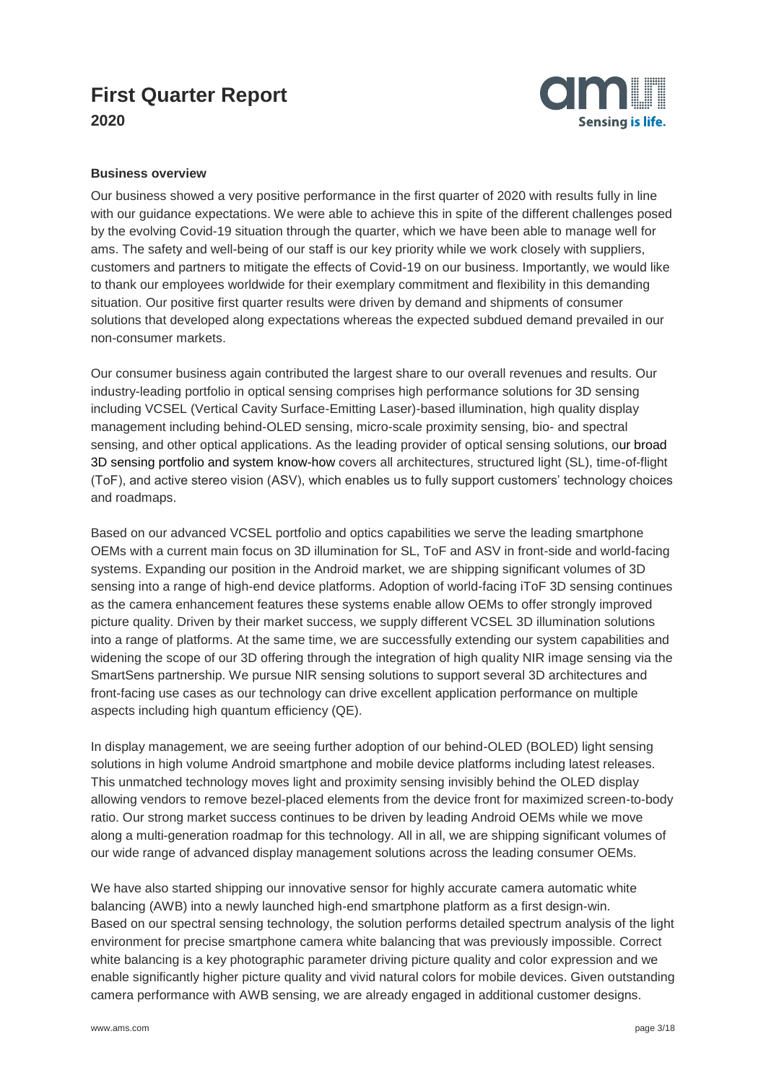

#### **Business overview**

Our business showed a very positive performance in the first quarter of 2020 with results fully in line with our guidance expectations. We were able to achieve this in spite of the different challenges posed by the evolving Covid-19 situation through the quarter, which we have been able to manage well for ams. The safety and well-being of our staff is our key priority while we work closely with suppliers, customers and partners to mitigate the effects of Covid-19 on our business. Importantly, we would like to thank our employees worldwide for their exemplary commitment and flexibility in this demanding situation. Our positive first quarter results were driven by demand and shipments of consumer solutions that developed along expectations whereas the expected subdued demand prevailed in our non-consumer markets.

Our consumer business again contributed the largest share to our overall revenues and results. Our industry-leading portfolio in optical sensing comprises high performance solutions for 3D sensing including VCSEL (Vertical Cavity Surface-Emitting Laser)-based illumination, high quality display management including behind-OLED sensing, micro-scale proximity sensing, bio- and spectral sensing, and other optical applications. As the leading provider of optical sensing solutions, our broad 3D sensing portfolio and system know-how covers all architectures, structured light (SL), time-of-flight (ToF), and active stereo vision (ASV), which enables us to fully support customers' technology choices and roadmaps.

Based on our advanced VCSEL portfolio and optics capabilities we serve the leading smartphone OEMs with a current main focus on 3D illumination for SL, ToF and ASV in front-side and world-facing systems. Expanding our position in the Android market, we are shipping significant volumes of 3D sensing into a range of high-end device platforms. Adoption of world-facing iToF 3D sensing continues as the camera enhancement features these systems enable allow OEMs to offer strongly improved picture quality. Driven by their market success, we supply different VCSEL 3D illumination solutions into a range of platforms. At the same time, we are successfully extending our system capabilities and widening the scope of our 3D offering through the integration of high quality NIR image sensing via the SmartSens partnership. We pursue NIR sensing solutions to support several 3D architectures and front-facing use cases as our technology can drive excellent application performance on multiple aspects including high quantum efficiency (QE).

In display management, we are seeing further adoption of our behind-OLED (BOLED) light sensing solutions in high volume Android smartphone and mobile device platforms including latest releases. This unmatched technology moves light and proximity sensing invisibly behind the OLED display allowing vendors to remove bezel-placed elements from the device front for maximized screen-to-body ratio. Our strong market success continues to be driven by leading Android OEMs while we move along a multi-generation roadmap for this technology. All in all, we are shipping significant volumes of our wide range of advanced display management solutions across the leading consumer OEMs.

We have also started shipping our innovative sensor for highly accurate camera automatic white balancing (AWB) into a newly launched high-end smartphone platform as a first design-win. Based on our spectral sensing technology, the solution performs detailed spectrum analysis of the light environment for precise smartphone camera white balancing that was previously impossible. Correct white balancing is a key photographic parameter driving picture quality and color expression and we enable significantly higher picture quality and vivid natural colors for mobile devices. Given outstanding camera performance with AWB sensing, we are already engaged in additional customer designs.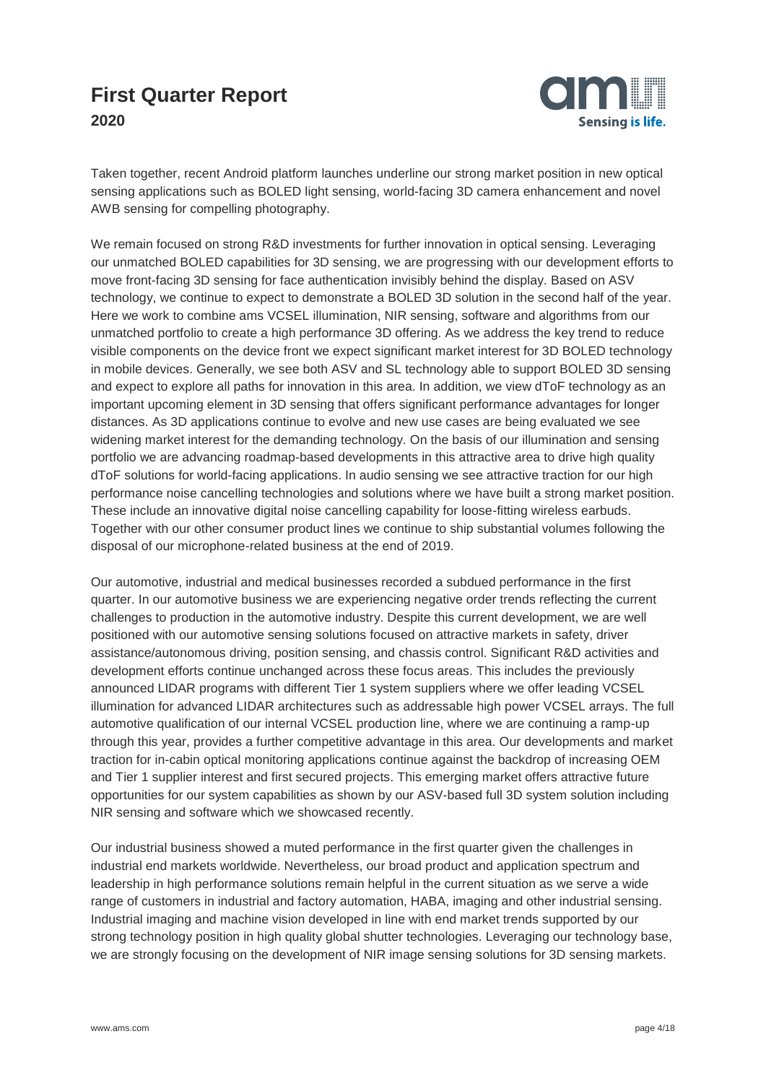

Taken together, recent Android platform launches underline our strong market position in new optical sensing applications such as BOLED light sensing, world-facing 3D camera enhancement and novel AWB sensing for compelling photography.

We remain focused on strong R&D investments for further innovation in optical sensing. Leveraging our unmatched BOLED capabilities for 3D sensing, we are progressing with our development efforts to move front-facing 3D sensing for face authentication invisibly behind the display. Based on ASV technology, we continue to expect to demonstrate a BOLED 3D solution in the second half of the year. Here we work to combine ams VCSEL illumination, NIR sensing, software and algorithms from our unmatched portfolio to create a high performance 3D offering. As we address the key trend to reduce visible components on the device front we expect significant market interest for 3D BOLED technology in mobile devices. Generally, we see both ASV and SL technology able to support BOLED 3D sensing and expect to explore all paths for innovation in this area. In addition, we view dToF technology as an important upcoming element in 3D sensing that offers significant performance advantages for longer distances. As 3D applications continue to evolve and new use cases are being evaluated we see widening market interest for the demanding technology. On the basis of our illumination and sensing portfolio we are advancing roadmap-based developments in this attractive area to drive high quality dToF solutions for world-facing applications. In audio sensing we see attractive traction for our high performance noise cancelling technologies and solutions where we have built a strong market position. These include an innovative digital noise cancelling capability for loose-fitting wireless earbuds. Together with our other consumer product lines we continue to ship substantial volumes following the disposal of our microphone-related business at the end of 2019.

Our automotive, industrial and medical businesses recorded a subdued performance in the first quarter. In our automotive business we are experiencing negative order trends reflecting the current challenges to production in the automotive industry. Despite this current development, we are well positioned with our automotive sensing solutions focused on attractive markets in safety, driver assistance/autonomous driving, position sensing, and chassis control. Significant R&D activities and development efforts continue unchanged across these focus areas. This includes the previously announced LIDAR programs with different Tier 1 system suppliers where we offer leading VCSEL illumination for advanced LIDAR architectures such as addressable high power VCSEL arrays. The full automotive qualification of our internal VCSEL production line, where we are continuing a ramp-up through this year, provides a further competitive advantage in this area. Our developments and market traction for in-cabin optical monitoring applications continue against the backdrop of increasing OEM and Tier 1 supplier interest and first secured projects. This emerging market offers attractive future opportunities for our system capabilities as shown by our ASV-based full 3D system solution including NIR sensing and software which we showcased recently.

Our industrial business showed a muted performance in the first quarter given the challenges in industrial end markets worldwide. Nevertheless, our broad product and application spectrum and leadership in high performance solutions remain helpful in the current situation as we serve a wide range of customers in industrial and factory automation, HABA, imaging and other industrial sensing. Industrial imaging and machine vision developed in line with end market trends supported by our strong technology position in high quality global shutter technologies. Leveraging our technology base, we are strongly focusing on the development of NIR image sensing solutions for 3D sensing markets.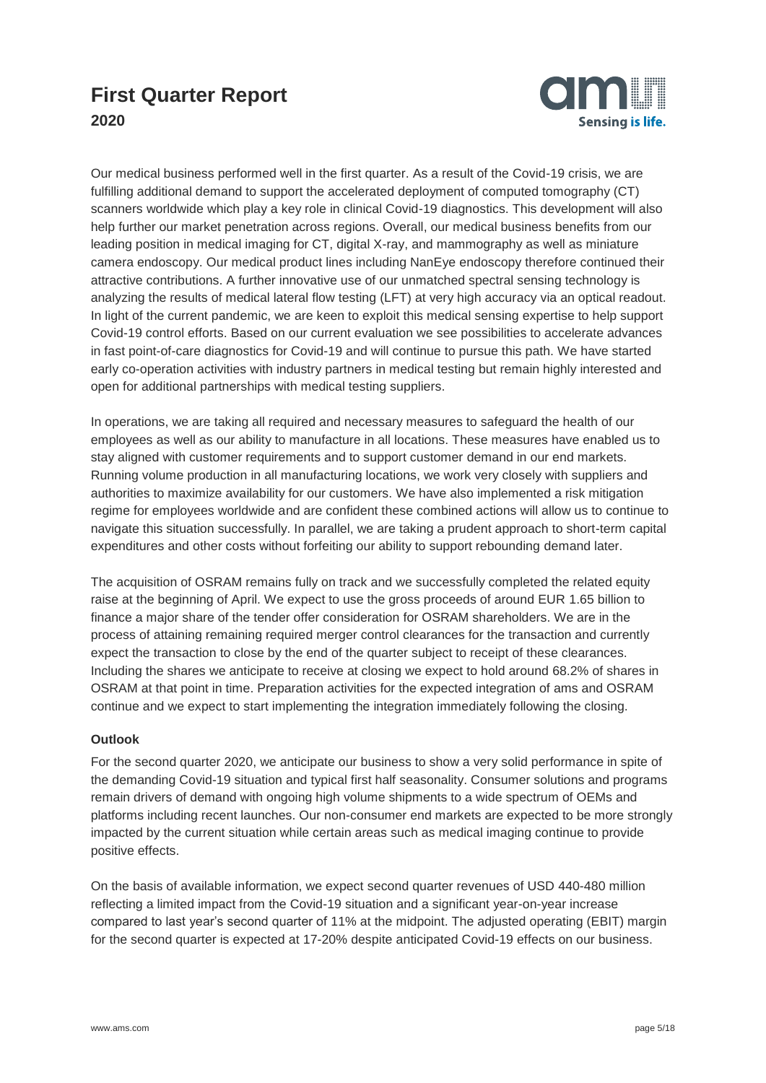

Our medical business performed well in the first quarter. As a result of the Covid-19 crisis, we are fulfilling additional demand to support the accelerated deployment of computed tomography (CT) scanners worldwide which play a key role in clinical Covid-19 diagnostics. This development will also help further our market penetration across regions. Overall, our medical business benefits from our leading position in medical imaging for CT, digital X-ray, and mammography as well as miniature camera endoscopy. Our medical product lines including NanEye endoscopy therefore continued their attractive contributions. A further innovative use of our unmatched spectral sensing technology is analyzing the results of medical lateral flow testing (LFT) at very high accuracy via an optical readout. In light of the current pandemic, we are keen to exploit this medical sensing expertise to help support Covid-19 control efforts. Based on our current evaluation we see possibilities to accelerate advances in fast point-of-care diagnostics for Covid-19 and will continue to pursue this path. We have started early co-operation activities with industry partners in medical testing but remain highly interested and open for additional partnerships with medical testing suppliers.

In operations, we are taking all required and necessary measures to safeguard the health of our employees as well as our ability to manufacture in all locations. These measures have enabled us to stay aligned with customer requirements and to support customer demand in our end markets. Running volume production in all manufacturing locations, we work very closely with suppliers and authorities to maximize availability for our customers. We have also implemented a risk mitigation regime for employees worldwide and are confident these combined actions will allow us to continue to navigate this situation successfully. In parallel, we are taking a prudent approach to short-term capital expenditures and other costs without forfeiting our ability to support rebounding demand later.

The acquisition of OSRAM remains fully on track and we successfully completed the related equity raise at the beginning of April. We expect to use the gross proceeds of around EUR 1.65 billion to finance a major share of the tender offer consideration for OSRAM shareholders. We are in the process of attaining remaining required merger control clearances for the transaction and currently expect the transaction to close by the end of the quarter subject to receipt of these clearances. Including the shares we anticipate to receive at closing we expect to hold around 68.2% of shares in OSRAM at that point in time. Preparation activities for the expected integration of ams and OSRAM continue and we expect to start implementing the integration immediately following the closing.

#### **Outlook**

For the second quarter 2020, we anticipate our business to show a very solid performance in spite of the demanding Covid-19 situation and typical first half seasonality. Consumer solutions and programs remain drivers of demand with ongoing high volume shipments to a wide spectrum of OEMs and platforms including recent launches. Our non-consumer end markets are expected to be more strongly impacted by the current situation while certain areas such as medical imaging continue to provide positive effects.

On the basis of available information, we expect second quarter revenues of USD 440-480 million reflecting a limited impact from the Covid-19 situation and a significant year-on-year increase compared to last year's second quarter of 11% at the midpoint. The adjusted operating (EBIT) margin for the second quarter is expected at 17-20% despite anticipated Covid-19 effects on our business.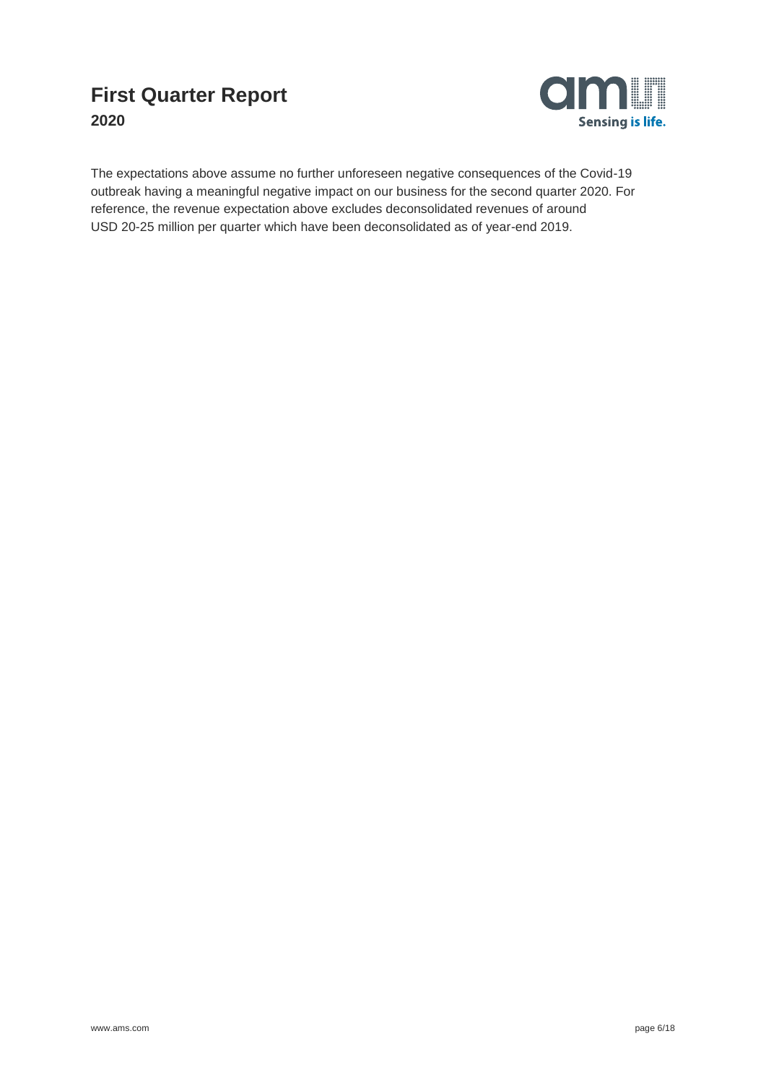

The expectations above assume no further unforeseen negative consequences of the Covid-19 outbreak having a meaningful negative impact on our business for the second quarter 2020. For reference, the revenue expectation above excludes deconsolidated revenues of around USD 20-25 million per quarter which have been deconsolidated as of year-end 2019.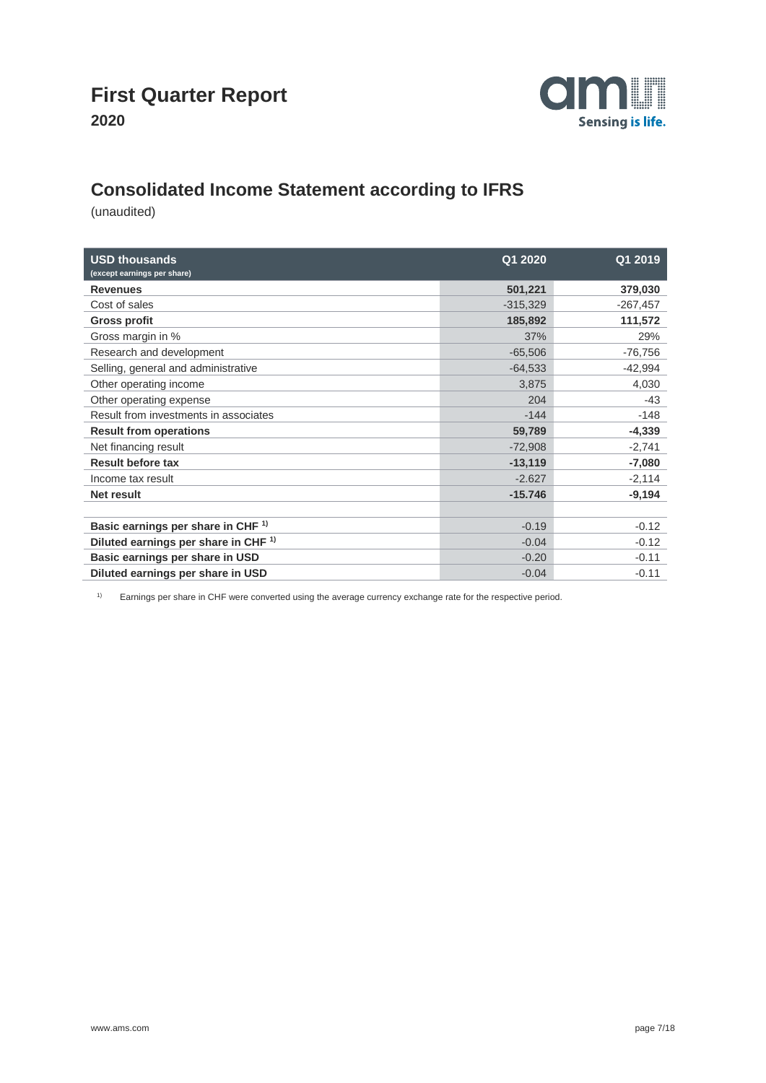

### **Consolidated Income Statement according to IFRS**

(unaudited)

| <b>USD thousands</b><br>(except earnings per share) | Q1 2020    | Q1 2019    |
|-----------------------------------------------------|------------|------------|
| <b>Revenues</b>                                     | 501,221    | 379,030    |
| Cost of sales                                       | $-315,329$ | $-267,457$ |
| <b>Gross profit</b>                                 | 185,892    | 111,572    |
| Gross margin in %                                   | 37%        | 29%        |
| Research and development                            | $-65,506$  | $-76,756$  |
| Selling, general and administrative                 | $-64,533$  | $-42,994$  |
| Other operating income                              | 3,875      | 4,030      |
| Other operating expense                             | 204        | $-43$      |
| Result from investments in associates               | $-144$     | $-148$     |
| <b>Result from operations</b>                       | 59,789     | $-4,339$   |
| Net financing result                                | $-72,908$  | $-2,741$   |
| <b>Result before tax</b>                            | $-13,119$  | $-7,080$   |
| Income tax result                                   | $-2.627$   | $-2,114$   |
| <b>Net result</b>                                   | $-15.746$  | $-9,194$   |
|                                                     |            |            |
| Basic earnings per share in CHF <sup>1)</sup>       | $-0.19$    | $-0.12$    |
| Diluted earnings per share in CHF <sup>1)</sup>     | $-0.04$    | $-0.12$    |
| Basic earnings per share in USD                     | $-0.20$    | $-0.11$    |
| Diluted earnings per share in USD                   | $-0.04$    | $-0.11$    |

1) Earnings per share in CHF were converted using the average currency exchange rate for the respective period.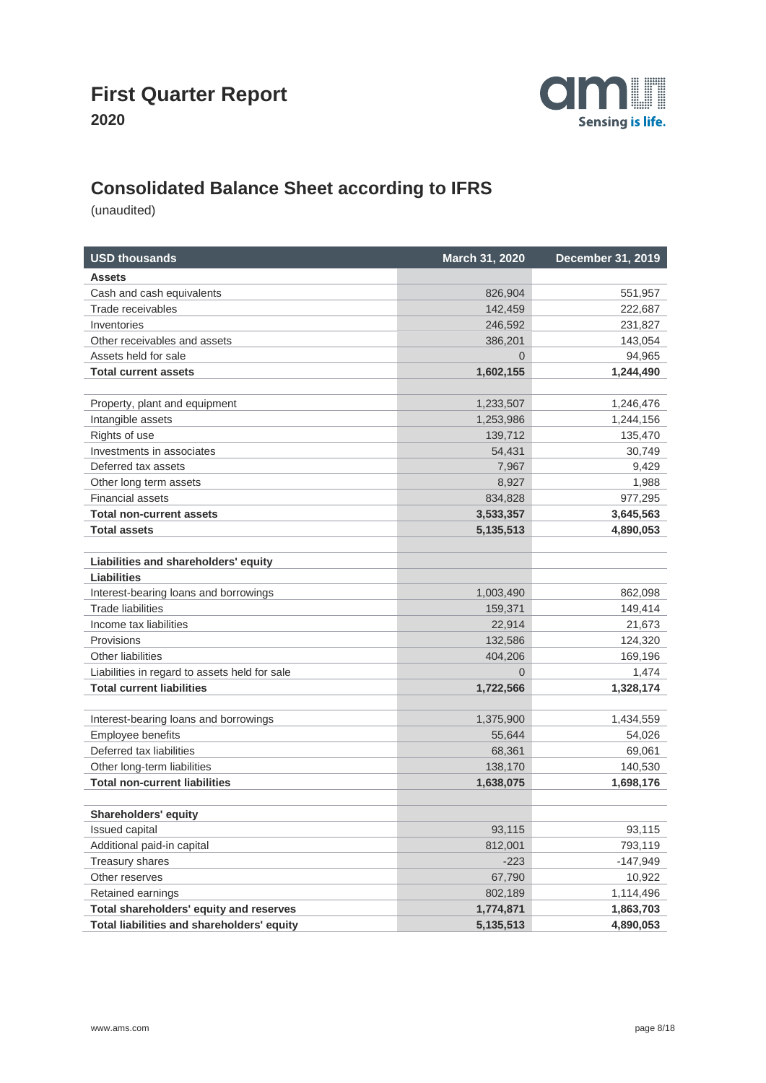

## **Consolidated Balance Sheet according to IFRS**

| <b>USD thousands</b>                          | March 31, 2020 | <b>December 31, 2019</b> |
|-----------------------------------------------|----------------|--------------------------|
| Assets                                        |                |                          |
| Cash and cash equivalents                     | 826,904        | 551,957                  |
| Trade receivables                             | 142,459        | 222,687                  |
| Inventories                                   | 246,592        | 231,827                  |
| Other receivables and assets                  | 386,201        | 143,054                  |
| Assets held for sale                          | $\overline{0}$ | 94,965                   |
| <b>Total current assets</b>                   | 1,602,155      | 1,244,490                |
|                                               |                |                          |
| Property, plant and equipment                 | 1,233,507      | 1,246,476                |
| Intangible assets                             | 1,253,986      | 1,244,156                |
| Rights of use                                 | 139,712        | 135,470                  |
| Investments in associates                     | 54,431         | 30,749                   |
| Deferred tax assets                           | 7,967          | 9,429                    |
| Other long term assets                        | 8,927          | 1,988                    |
| <b>Financial assets</b>                       | 834,828        | 977,295                  |
| <b>Total non-current assets</b>               | 3,533,357      | 3,645,563                |
| <b>Total assets</b>                           | 5,135,513      | 4,890,053                |
|                                               |                |                          |
| Liabilities and shareholders' equity          |                |                          |
| <b>Liabilities</b>                            |                |                          |
| Interest-bearing loans and borrowings         | 1,003,490      | 862,098                  |
| <b>Trade liabilities</b>                      | 159,371        | 149,414                  |
| Income tax liabilities                        | 22,914         | 21,673                   |
| Provisions                                    | 132,586        | 124,320                  |
| <b>Other liabilities</b>                      | 404,206        | 169,196                  |
| Liabilities in regard to assets held for sale | $\Omega$       | 1,474                    |
| <b>Total current liabilities</b>              | 1,722,566      | 1,328,174                |
|                                               |                |                          |
| Interest-bearing loans and borrowings         | 1,375,900      | 1,434,559                |
| Employee benefits                             | 55,644         | 54,026                   |
| Deferred tax liabilities                      | 68,361         | 69,061                   |
| Other long-term liabilities                   | 138,170        | 140,530                  |
| <b>Total non-current liabilities</b>          | 1,638,075      | 1,698,176                |
|                                               |                |                          |
| <b>Shareholders' equity</b>                   |                |                          |
| Issued capital                                | 93,115         | 93,115                   |
| Additional paid-in capital                    | 812,001        | 793,119                  |
| Treasury shares                               | $-223$         | -147,949                 |
| Other reserves                                | 67,790         | 10,922                   |
| Retained earnings                             | 802,189        | 1,114,496                |
| Total shareholders' equity and reserves       | 1,774,871      | 1,863,703                |
| Total liabilities and shareholders' equity    | 5,135,513      | 4,890,053                |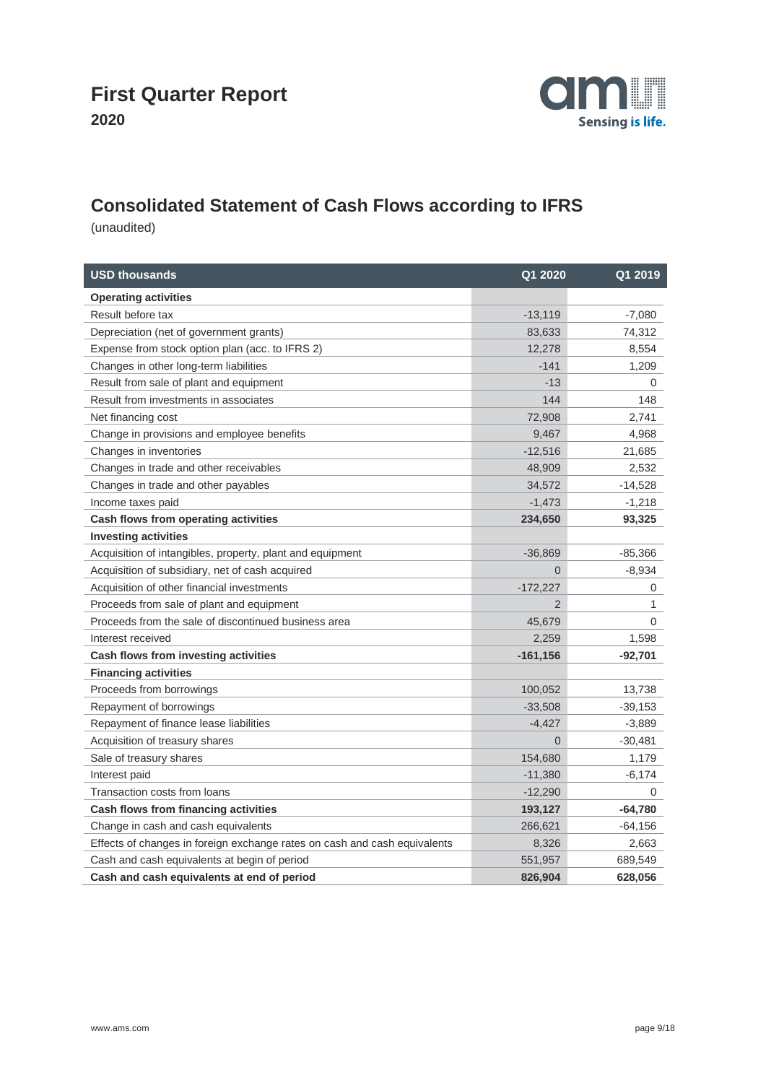

## **Consolidated Statement of Cash Flows according to IFRS**

| <b>USD thousands</b>                                                      | Q1 2020        | Q1 2019   |
|---------------------------------------------------------------------------|----------------|-----------|
| <b>Operating activities</b>                                               |                |           |
| Result before tax                                                         | $-13,119$      | $-7,080$  |
| Depreciation (net of government grants)                                   | 83,633         | 74,312    |
| Expense from stock option plan (acc. to IFRS 2)                           | 12,278         | 8,554     |
| Changes in other long-term liabilities                                    | $-141$         | 1,209     |
| Result from sale of plant and equipment                                   | $-13$          | 0         |
| Result from investments in associates                                     | 144            | 148       |
| Net financing cost                                                        | 72,908         | 2,741     |
| Change in provisions and employee benefits                                | 9,467          | 4,968     |
| Changes in inventories                                                    | $-12,516$      | 21,685    |
| Changes in trade and other receivables                                    | 48,909         | 2,532     |
| Changes in trade and other payables                                       | 34,572         | $-14,528$ |
| Income taxes paid                                                         | $-1,473$       | $-1,218$  |
| Cash flows from operating activities                                      | 234,650        | 93,325    |
| <b>Investing activities</b>                                               |                |           |
| Acquisition of intangibles, property, plant and equipment                 | $-36,869$      | $-85,366$ |
| Acquisition of subsidiary, net of cash acquired                           | $\Omega$       | $-8,934$  |
| Acquisition of other financial investments                                | $-172,227$     | 0         |
| Proceeds from sale of plant and equipment                                 | 2              | 1         |
| Proceeds from the sale of discontinued business area                      | 45,679         | 0         |
| Interest received                                                         | 2,259          | 1,598     |
| Cash flows from investing activities                                      | $-161,156$     | $-92,701$ |
| <b>Financing activities</b>                                               |                |           |
| Proceeds from borrowings                                                  | 100,052        | 13,738    |
| Repayment of borrowings                                                   | $-33,508$      | $-39,153$ |
| Repayment of finance lease liabilities                                    | $-4,427$       | $-3,889$  |
| Acquisition of treasury shares                                            | $\overline{0}$ | $-30,481$ |
| Sale of treasury shares                                                   | 154,680        | 1,179     |
| Interest paid                                                             | $-11,380$      | $-6,174$  |
| Transaction costs from loans                                              | $-12,290$      | $\Omega$  |
| Cash flows from financing activities                                      | 193,127        | -64,780   |
| Change in cash and cash equivalents                                       | 266,621        | $-64,156$ |
| Effects of changes in foreign exchange rates on cash and cash equivalents | 8,326          | 2,663     |
| Cash and cash equivalents at begin of period                              | 551,957        | 689,549   |
| Cash and cash equivalents at end of period                                | 826,904        | 628,056   |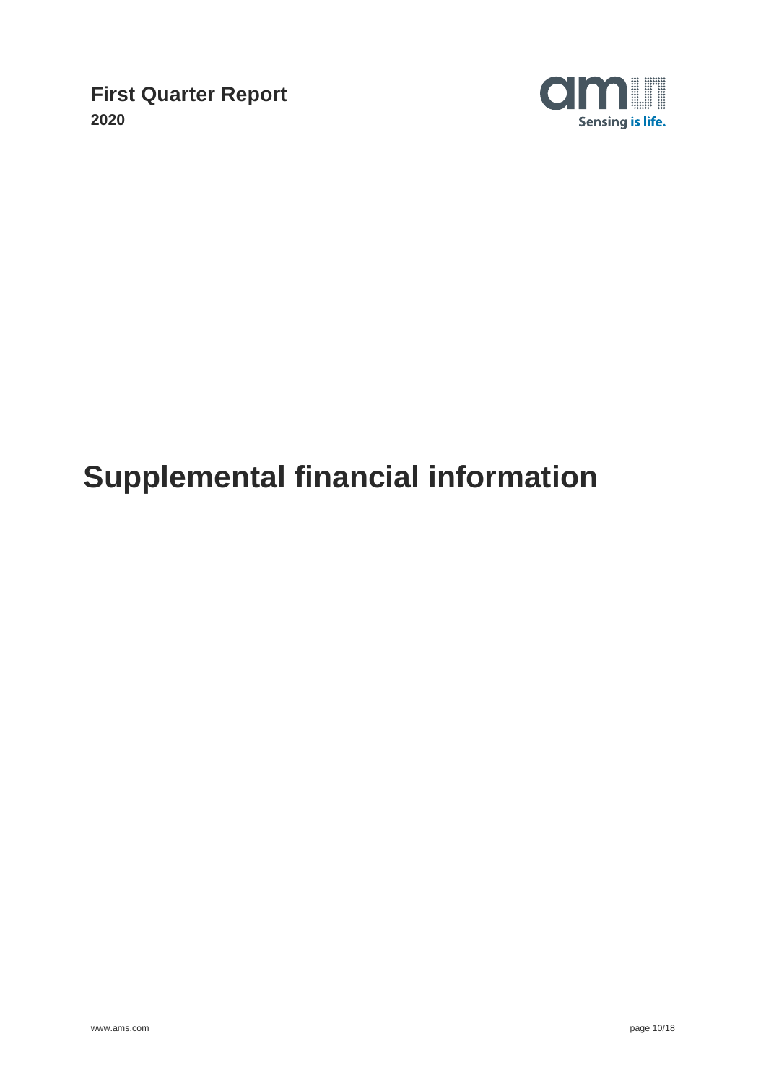

# **Supplemental financial information**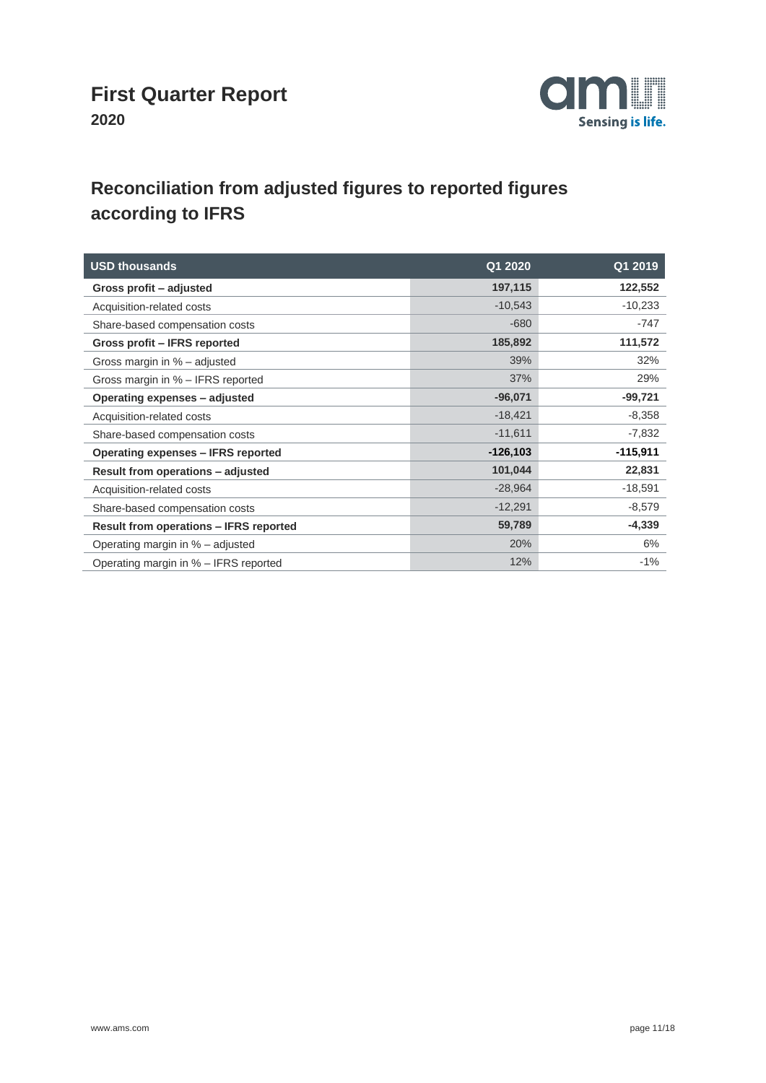

# **Reconciliation from adjusted figures to reported figures according to IFRS**

| <b>USD thousands</b>                          | Q1 2020     | Q1 2019    |
|-----------------------------------------------|-------------|------------|
| Gross profit - adjusted                       | 197,115     | 122,552    |
| Acquisition-related costs                     | $-10,543$   | $-10,233$  |
| Share-based compensation costs                | $-680$      | $-747$     |
| Gross profit - IFRS reported                  | 185,892     | 111,572    |
| Gross margin in % - adjusted                  | 39%         | 32%        |
| Gross margin in % - IFRS reported             | 37%         | 29%        |
| Operating expenses - adjusted                 | $-96,071$   | $-99,721$  |
| Acquisition-related costs                     | $-18,421$   | $-8,358$   |
| Share-based compensation costs                | $-11,611$   | $-7,832$   |
| Operating expenses - IFRS reported            | $-126, 103$ | $-115,911$ |
| Result from operations - adjusted             | 101,044     | 22,831     |
| Acquisition-related costs                     | $-28,964$   | $-18,591$  |
| Share-based compensation costs                | $-12,291$   | $-8,579$   |
| <b>Result from operations - IFRS reported</b> | 59,789      | $-4,339$   |
| Operating margin in % - adjusted              | 20%         | 6%         |
| Operating margin in % - IFRS reported         | 12%         | $-1%$      |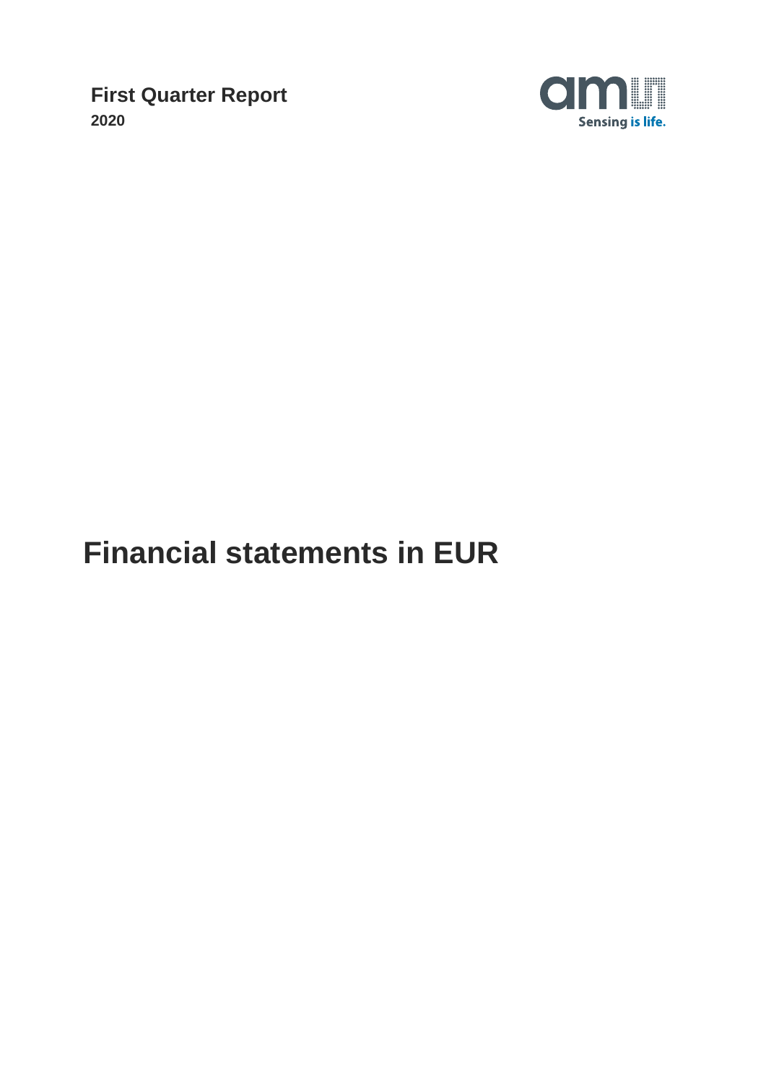

# **Financial statements in EUR**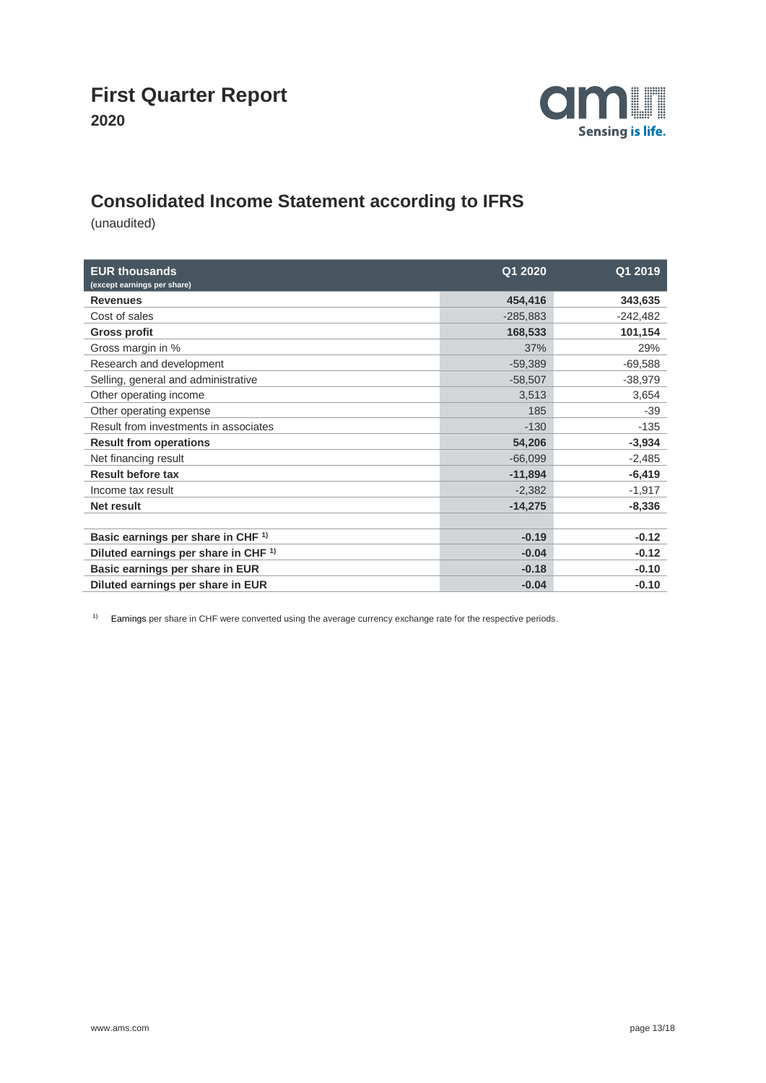

### **Consolidated Income Statement according to IFRS**

(unaudited)

| <b>EUR thousands</b><br>(except earnings per share) | Q1 2020    | Q1 2019    |
|-----------------------------------------------------|------------|------------|
| <b>Revenues</b>                                     | 454,416    | 343,635    |
| Cost of sales                                       | $-285,883$ | $-242,482$ |
| <b>Gross profit</b>                                 | 168,533    | 101,154    |
| Gross margin in %                                   | 37%        | 29%        |
| Research and development                            | $-59,389$  | $-69,588$  |
| Selling, general and administrative                 | $-58,507$  | $-38,979$  |
| Other operating income                              | 3,513      | 3,654      |
| Other operating expense                             | 185        | $-39$      |
| Result from investments in associates               | $-130$     | $-135$     |
| <b>Result from operations</b>                       | 54,206     | $-3,934$   |
| Net financing result                                | $-66,099$  | $-2,485$   |
| <b>Result before tax</b>                            | $-11,894$  | $-6,419$   |
| Income tax result                                   | $-2,382$   | $-1,917$   |
| Net result                                          | $-14,275$  | $-8,336$   |
|                                                     |            |            |
| Basic earnings per share in CHF <sup>1)</sup>       | $-0.19$    | $-0.12$    |
| Diluted earnings per share in CHF <sup>1)</sup>     | $-0.04$    | $-0.12$    |
| Basic earnings per share in EUR                     | $-0.18$    | $-0.10$    |
| Diluted earnings per share in EUR                   | $-0.04$    | $-0.10$    |

<sup>1)</sup> Earnings per share in CHF were converted using the average currency exchange rate for the respective periods.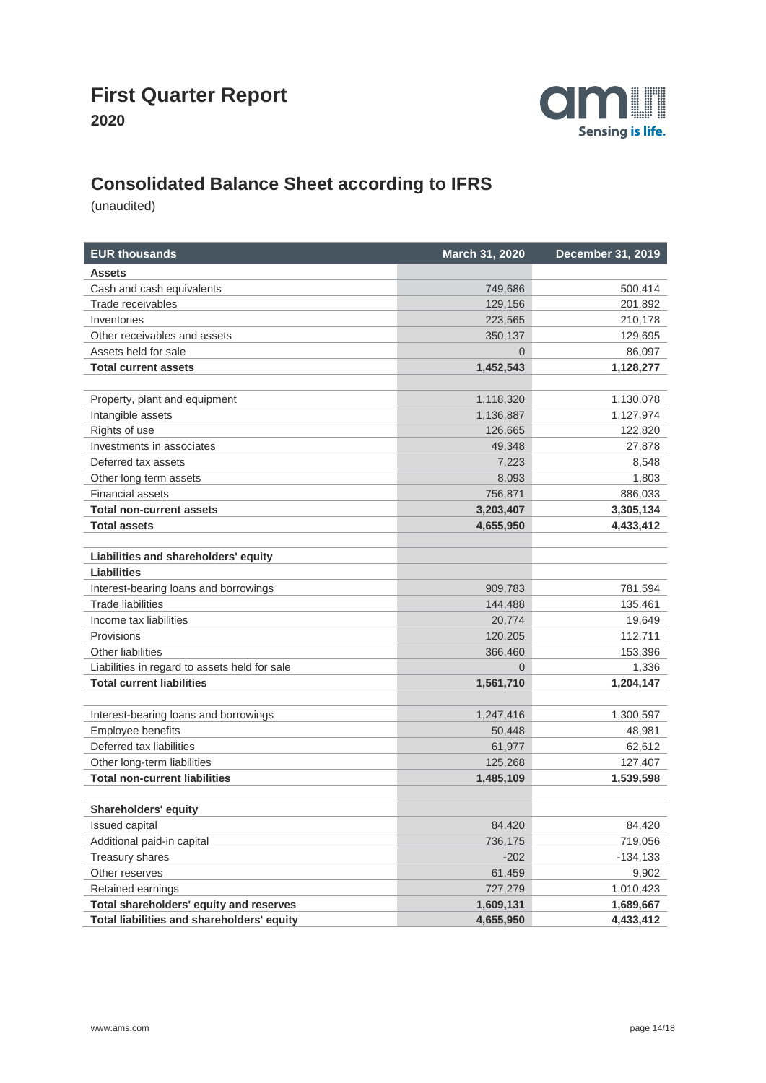



# **Consolidated Balance Sheet according to IFRS**

| <b>EUR thousands</b>                          | March 31, 2020 | December 31, 2019 |
|-----------------------------------------------|----------------|-------------------|
| <b>Assets</b>                                 |                |                   |
| Cash and cash equivalents                     | 749,686        | 500,414           |
| Trade receivables                             | 129,156        | 201,892           |
| Inventories                                   | 223,565        | 210,178           |
| Other receivables and assets                  | 350,137        | 129,695           |
| Assets held for sale                          | $\Omega$       | 86,097            |
| <b>Total current assets</b>                   | 1,452,543      | 1,128,277         |
|                                               |                |                   |
| Property, plant and equipment                 | 1,118,320      | 1,130,078         |
| Intangible assets                             | 1,136,887      | 1,127,974         |
| Rights of use                                 | 126,665        | 122,820           |
| Investments in associates                     | 49,348         | 27,878            |
| Deferred tax assets                           | 7,223          | 8,548             |
| Other long term assets                        | 8,093          | 1,803             |
| <b>Financial assets</b>                       | 756,871        | 886,033           |
| <b>Total non-current assets</b>               | 3,203,407      | 3,305,134         |
| <b>Total assets</b>                           | 4,655,950      | 4,433,412         |
|                                               |                |                   |
| Liabilities and shareholders' equity          |                |                   |
| <b>Liabilities</b>                            |                |                   |
| Interest-bearing loans and borrowings         | 909,783        | 781,594           |
| <b>Trade liabilities</b>                      | 144,488        | 135,461           |
| Income tax liabilities                        | 20,774         | 19,649            |
| Provisions                                    | 120,205        | 112,711           |
| Other liabilities                             | 366,460        | 153,396           |
| Liabilities in regard to assets held for sale | 0              | 1,336             |
| <b>Total current liabilities</b>              | 1,561,710      | 1,204,147         |
|                                               |                |                   |
| Interest-bearing loans and borrowings         | 1,247,416      | 1,300,597         |
| Employee benefits                             | 50,448         | 48,981            |
| Deferred tax liabilities                      | 61,977         | 62,612            |
| Other long-term liabilities                   | 125,268        | 127,407           |
| <b>Total non-current liabilities</b>          | 1,485,109      | 1,539,598         |
|                                               |                |                   |
| Shareholders' equity                          |                |                   |
| Issued capital                                | 84,420         | 84,420            |
| Additional paid-in capital                    | 736,175        | 719,056           |
| <b>Treasury shares</b>                        | $-202$         | $-134,133$        |
| Other reserves                                | 61,459         | 9,902             |
| Retained earnings                             | 727,279        | 1,010,423         |
| Total shareholders' equity and reserves       | 1,609,131      | 1,689,667         |
| Total liabilities and shareholders' equity    | 4,655,950      | 4,433,412         |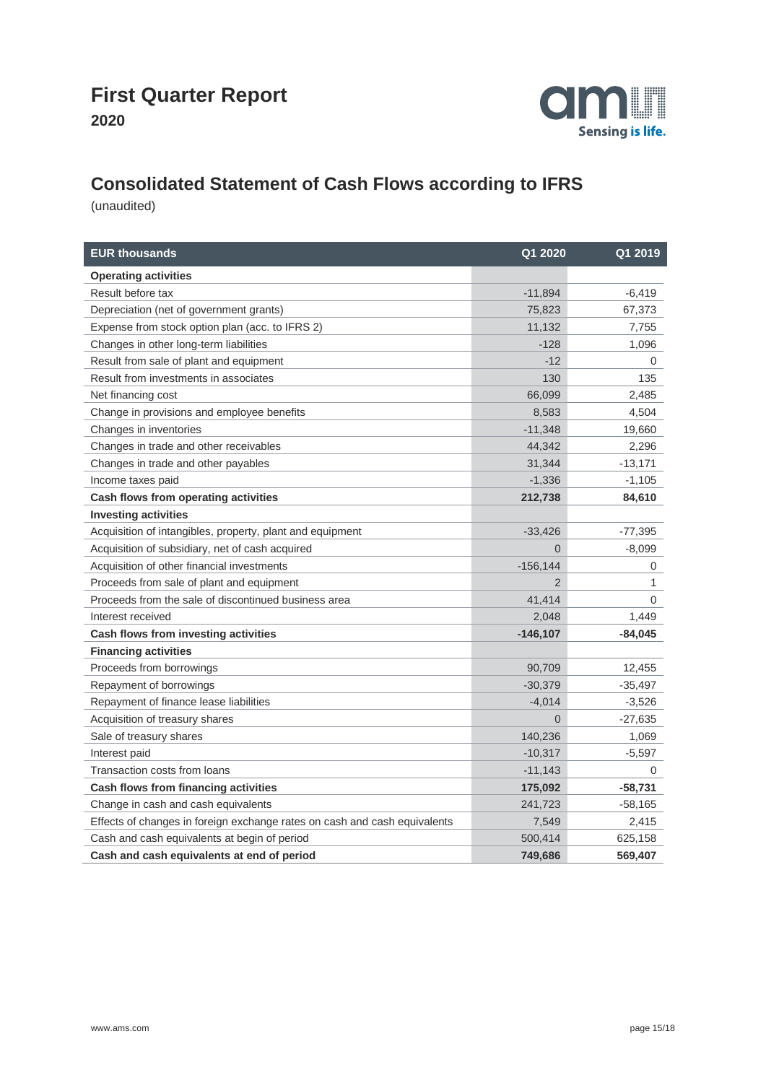

# **Consolidated Statement of Cash Flows according to IFRS**

| <b>EUR thousands</b>                                                      | Q1 2020     | Q1 2019   |
|---------------------------------------------------------------------------|-------------|-----------|
| <b>Operating activities</b>                                               |             |           |
| Result before tax                                                         | $-11,894$   | $-6,419$  |
| Depreciation (net of government grants)                                   | 75,823      | 67,373    |
| Expense from stock option plan (acc. to IFRS 2)                           | 11,132      | 7,755     |
| Changes in other long-term liabilities                                    | $-128$      | 1,096     |
| Result from sale of plant and equipment                                   | $-12$       | $\Omega$  |
| Result from investments in associates                                     | 130         | 135       |
| Net financing cost                                                        | 66,099      | 2,485     |
| Change in provisions and employee benefits                                | 8,583       | 4,504     |
| Changes in inventories                                                    | $-11,348$   | 19,660    |
| Changes in trade and other receivables                                    | 44,342      | 2,296     |
| Changes in trade and other payables                                       | 31,344      | $-13,171$ |
| Income taxes paid                                                         | $-1,336$    | $-1,105$  |
| Cash flows from operating activities                                      | 212,738     | 84,610    |
| <b>Investing activities</b>                                               |             |           |
| Acquisition of intangibles, property, plant and equipment                 | $-33,426$   | $-77,395$ |
| Acquisition of subsidiary, net of cash acquired                           | $\Omega$    | $-8,099$  |
| Acquisition of other financial investments                                | $-156, 144$ | 0         |
| Proceeds from sale of plant and equipment                                 | 2           | 1         |
| Proceeds from the sale of discontinued business area                      | 41,414      | 0         |
| Interest received                                                         | 2,048       | 1,449     |
| Cash flows from investing activities                                      | $-146, 107$ | -84,045   |
| <b>Financing activities</b>                                               |             |           |
| Proceeds from borrowings                                                  | 90,709      | 12,455    |
| Repayment of borrowings                                                   | $-30,379$   | $-35,497$ |
| Repayment of finance lease liabilities                                    | $-4,014$    | $-3,526$  |
| Acquisition of treasury shares                                            | 0           | $-27,635$ |
| Sale of treasury shares                                                   | 140,236     | 1,069     |
| Interest paid                                                             | $-10,317$   | $-5,597$  |
| Transaction costs from loans                                              | $-11,143$   | 0         |
| Cash flows from financing activities                                      | 175,092     | $-58,731$ |
| Change in cash and cash equivalents                                       | 241,723     | $-58,165$ |
| Effects of changes in foreign exchange rates on cash and cash equivalents | 7,549       | 2,415     |
| Cash and cash equivalents at begin of period                              | 500,414     | 625,158   |
| Cash and cash equivalents at end of period                                | 749,686     | 569,407   |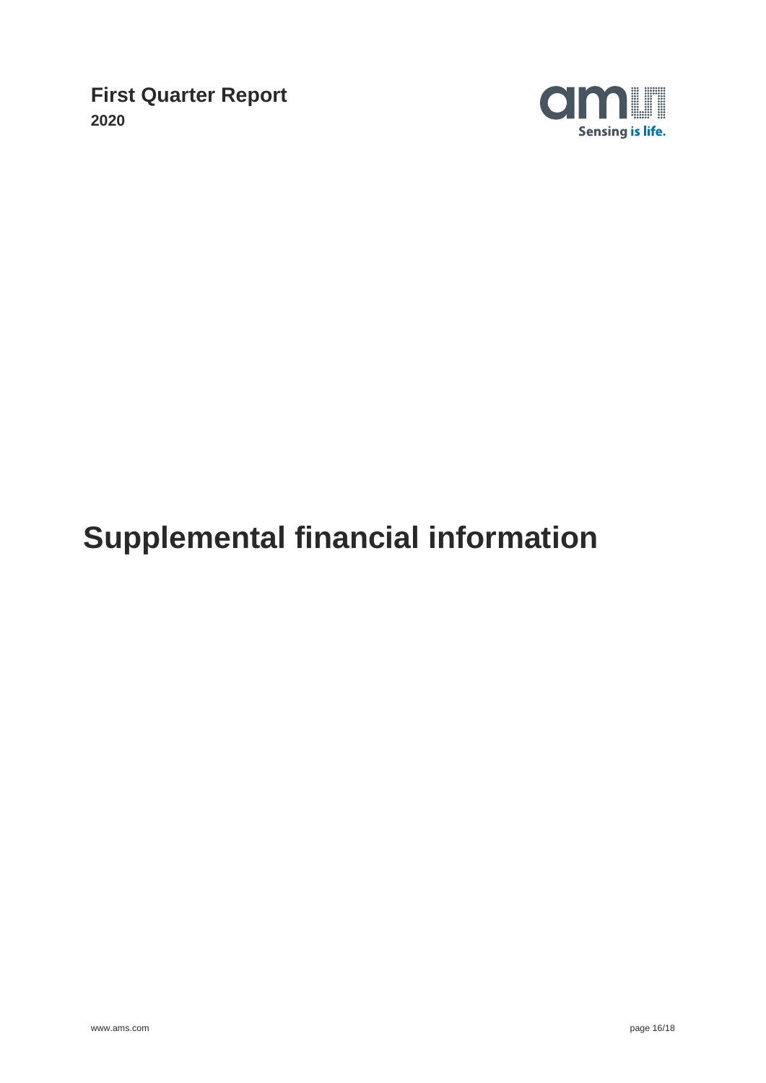

# **Supplemental financial information**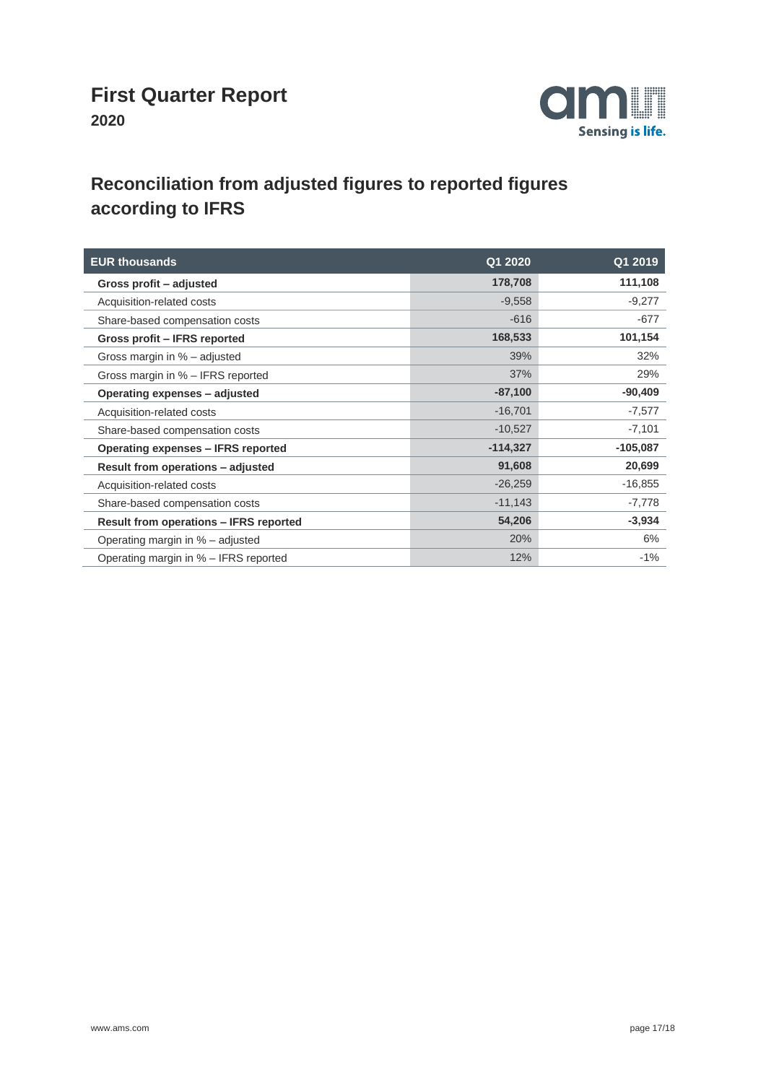

## **Reconciliation from adjusted figures to reported figures according to IFRS**

| <b>EUR thousands</b>                          | Q12020     | Q1 2019    |
|-----------------------------------------------|------------|------------|
| Gross profit - adjusted                       | 178,708    | 111,108    |
| Acquisition-related costs                     | $-9,558$   | $-9,277$   |
| Share-based compensation costs                | $-616$     | $-677$     |
| Gross profit - IFRS reported                  | 168,533    | 101,154    |
| Gross margin in % - adjusted                  | 39%        | 32%        |
| Gross margin in % - IFRS reported             | 37%        | 29%        |
| Operating expenses - adjusted                 | $-87,100$  | $-90,409$  |
| Acquisition-related costs                     | $-16,701$  | $-7,577$   |
| Share-based compensation costs                | $-10,527$  | $-7,101$   |
| Operating expenses – IFRS reported            | $-114,327$ | $-105,087$ |
| Result from operations - adjusted             | 91,608     | 20,699     |
| Acquisition-related costs                     | $-26,259$  | $-16,855$  |
| Share-based compensation costs                | $-11,143$  | $-7,778$   |
| <b>Result from operations - IFRS reported</b> | 54,206     | $-3,934$   |
| Operating margin in % – adjusted              | 20%        | 6%         |
| Operating margin in % - IFRS reported         | 12%        | $-1%$      |